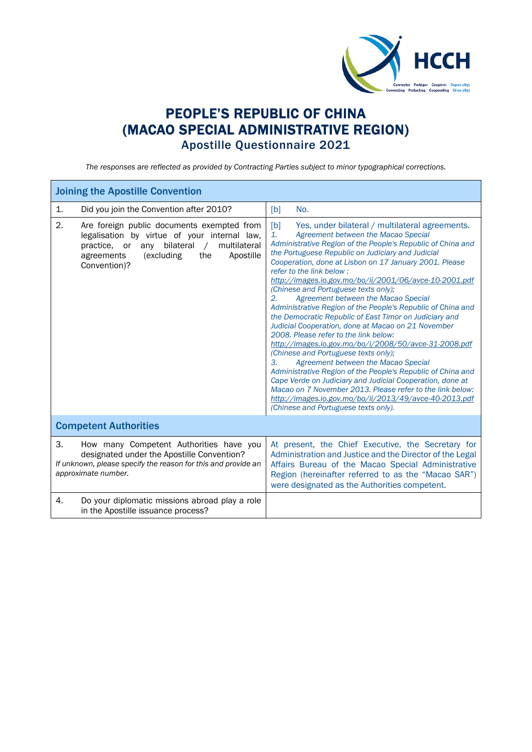

## PEOPLE'S REPUBLIC OF CHINA (MACAO SPECIAL ADMINISTRATIVE REGION) Apostille Questionnaire 2021

*The responses are reflected as provided by Contracting Parties subject to minor typographical corrections.*

| <b>Joining the Apostille Convention</b>                                                                                                                                                                                            |                                                                                                                                                                                                                                                                                                                                                                                                                                                                                                                                                                                                                                                                                                                                                                                                                                                                                                                                                                                                                                                                                                                               |  |  |
|------------------------------------------------------------------------------------------------------------------------------------------------------------------------------------------------------------------------------------|-------------------------------------------------------------------------------------------------------------------------------------------------------------------------------------------------------------------------------------------------------------------------------------------------------------------------------------------------------------------------------------------------------------------------------------------------------------------------------------------------------------------------------------------------------------------------------------------------------------------------------------------------------------------------------------------------------------------------------------------------------------------------------------------------------------------------------------------------------------------------------------------------------------------------------------------------------------------------------------------------------------------------------------------------------------------------------------------------------------------------------|--|--|
| Did you join the Convention after 2010?<br>1.                                                                                                                                                                                      | [b]<br>No.                                                                                                                                                                                                                                                                                                                                                                                                                                                                                                                                                                                                                                                                                                                                                                                                                                                                                                                                                                                                                                                                                                                    |  |  |
| 2.<br>Are foreign public documents exempted from<br>legalisation by virtue of your internal law,<br>bilateral<br>any<br>$\sqrt{2}$<br>multilateral<br>practice, or<br>(excluding<br>the<br>Apostille<br>agreements<br>Convention)? | Yes, under bilateral / multilateral agreements.<br>[b]<br>1.<br>Agreement between the Macao Special<br>Administrative Region of the People's Republic of China and<br>the Portuguese Republic on Judiciary and Judicial<br>Cooperation, done at Lisbon on 17 January 2001. Please<br>refer to the link below:<br>http://images.io.gov.mo/bo/ii/2001/06/avce-10-2001.pdf<br>(Chinese and Portuguese texts only);<br>2.<br>Agreement between the Macao Special<br>Administrative Region of the People's Republic of China and<br>the Democratic Republic of East Timor on Judiciary and<br>Judicial Cooperation, done at Macao on 21 November<br>2008. Please refer to the link below:<br>http://images.io.gov.mo/bo/i/2008/50/avce-31-2008.pdf<br>(Chinese and Portuguese texts only);<br>3.<br>Agreement between the Macao Special<br>Administrative Region of the People's Republic of China and<br>Cape Verde on Judiciary and Judicial Cooperation, done at<br>Macao on 7 November 2013. Please refer to the link below:<br>http://images.io.gov.mo/bo/ii/2013/49/avce-40-2013.pdf<br>(Chinese and Portuguese texts only). |  |  |
| <b>Competent Authorities</b>                                                                                                                                                                                                       |                                                                                                                                                                                                                                                                                                                                                                                                                                                                                                                                                                                                                                                                                                                                                                                                                                                                                                                                                                                                                                                                                                                               |  |  |
| 3.<br>How many Competent Authorities have you<br>designated under the Apostille Convention?<br>If unknown, please specify the reason for this and provide an<br>approximate number.                                                | At present, the Chief Executive, the Secretary for<br>Administration and Justice and the Director of the Legal<br>Affairs Bureau of the Macao Special Administrative<br>Region (hereinafter referred to as the "Macao SAR")<br>were designated as the Authorities competent.                                                                                                                                                                                                                                                                                                                                                                                                                                                                                                                                                                                                                                                                                                                                                                                                                                                  |  |  |
| Do your diplomatic missions abroad play a role<br>4.<br>in the Apostille issuance process?                                                                                                                                         |                                                                                                                                                                                                                                                                                                                                                                                                                                                                                                                                                                                                                                                                                                                                                                                                                                                                                                                                                                                                                                                                                                                               |  |  |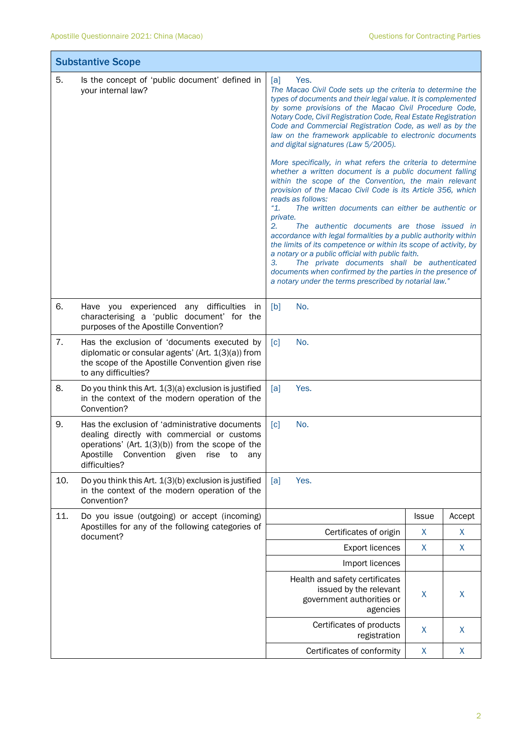|     | <b>Substantive Scope</b>                                                                                                                                                                                                       |                                                                                                                                                                                                                                                                                                                                                                                                                                                                                                                                                                                                                                                                                                                                                                                                                                                                                                                                                                                                                                                                                                                                                                                                               |              |        |  |
|-----|--------------------------------------------------------------------------------------------------------------------------------------------------------------------------------------------------------------------------------|---------------------------------------------------------------------------------------------------------------------------------------------------------------------------------------------------------------------------------------------------------------------------------------------------------------------------------------------------------------------------------------------------------------------------------------------------------------------------------------------------------------------------------------------------------------------------------------------------------------------------------------------------------------------------------------------------------------------------------------------------------------------------------------------------------------------------------------------------------------------------------------------------------------------------------------------------------------------------------------------------------------------------------------------------------------------------------------------------------------------------------------------------------------------------------------------------------------|--------------|--------|--|
| 5.  | Is the concept of 'public document' defined in<br>your internal law?                                                                                                                                                           | Yes.<br>[a]<br>The Macao Civil Code sets up the criteria to determine the<br>types of documents and their legal value. It is complemented<br>by some provisions of the Macao Civil Procedure Code,<br>Notary Code, Civil Registration Code, Real Estate Registration<br>Code and Commercial Registration Code, as well as by the<br>law on the framework applicable to electronic documents<br>and digital signatures (Law 5/2005).<br>More specifically, in what refers the criteria to determine<br>whether a written document is a public document falling<br>within the scope of the Convention, the main relevant<br>provision of the Macao Civil Code is its Article 356, which<br>reads as follows:<br>"1.<br>The written documents can either be authentic or<br>private.<br>2.<br>The authentic documents are those issued in<br>accordance with legal formalities by a public authority within<br>the limits of its competence or within its scope of activity, by<br>a notary or a public official with public faith.<br>3.<br>The private documents shall be authenticated<br>documents when confirmed by the parties in the presence of<br>a notary under the terms prescribed by notarial law." |              |        |  |
| 6.  | Have you experienced any difficulties in<br>characterising a 'public document' for the<br>purposes of the Apostille Convention?                                                                                                | [b]<br>No.                                                                                                                                                                                                                                                                                                                                                                                                                                                                                                                                                                                                                                                                                                                                                                                                                                                                                                                                                                                                                                                                                                                                                                                                    |              |        |  |
| 7.  | Has the exclusion of 'documents executed by<br>diplomatic or consular agents' (Art. 1(3)(a)) from<br>the scope of the Apostille Convention given rise<br>to any difficulties?                                                  | No.<br>$\lceil c \rceil$                                                                                                                                                                                                                                                                                                                                                                                                                                                                                                                                                                                                                                                                                                                                                                                                                                                                                                                                                                                                                                                                                                                                                                                      |              |        |  |
| 8.  | Do you think this Art. $1(3)(a)$ exclusion is justified<br>in the context of the modern operation of the<br>Convention?                                                                                                        | [a]<br>Yes.                                                                                                                                                                                                                                                                                                                                                                                                                                                                                                                                                                                                                                                                                                                                                                                                                                                                                                                                                                                                                                                                                                                                                                                                   |              |        |  |
| 9.  | Has the exclusion of 'administrative documents<br>dealing directly with commercial or customs<br>operations' (Art. $1(3)(b)$ ) from the scope of the<br>Apostille<br>Convention<br>given<br>rise<br>to<br>any<br>difficulties? | No.<br>[c]                                                                                                                                                                                                                                                                                                                                                                                                                                                                                                                                                                                                                                                                                                                                                                                                                                                                                                                                                                                                                                                                                                                                                                                                    |              |        |  |
| 10. | Do you think this Art. 1(3)(b) exclusion is justified<br>in the context of the modern operation of the<br>Convention?                                                                                                          | Yes.<br>[a]                                                                                                                                                                                                                                                                                                                                                                                                                                                                                                                                                                                                                                                                                                                                                                                                                                                                                                                                                                                                                                                                                                                                                                                                   |              |        |  |
| 11. | Do you issue (outgoing) or accept (incoming)                                                                                                                                                                                   |                                                                                                                                                                                                                                                                                                                                                                                                                                                                                                                                                                                                                                                                                                                                                                                                                                                                                                                                                                                                                                                                                                                                                                                                               | <b>Issue</b> | Accept |  |
|     | Apostilles for any of the following categories of<br>document?                                                                                                                                                                 | Certificates of origin                                                                                                                                                                                                                                                                                                                                                                                                                                                                                                                                                                                                                                                                                                                                                                                                                                                                                                                                                                                                                                                                                                                                                                                        | X            | X      |  |
|     |                                                                                                                                                                                                                                | <b>Export licences</b>                                                                                                                                                                                                                                                                                                                                                                                                                                                                                                                                                                                                                                                                                                                                                                                                                                                                                                                                                                                                                                                                                                                                                                                        | X            | X      |  |
|     |                                                                                                                                                                                                                                | Import licences                                                                                                                                                                                                                                                                                                                                                                                                                                                                                                                                                                                                                                                                                                                                                                                                                                                                                                                                                                                                                                                                                                                                                                                               |              |        |  |
|     |                                                                                                                                                                                                                                | Health and safety certificates<br>issued by the relevant<br>government authorities or<br>agencies                                                                                                                                                                                                                                                                                                                                                                                                                                                                                                                                                                                                                                                                                                                                                                                                                                                                                                                                                                                                                                                                                                             | X            | X      |  |
|     |                                                                                                                                                                                                                                | Certificates of products<br>registration                                                                                                                                                                                                                                                                                                                                                                                                                                                                                                                                                                                                                                                                                                                                                                                                                                                                                                                                                                                                                                                                                                                                                                      | X            | X      |  |
|     |                                                                                                                                                                                                                                | Certificates of conformity                                                                                                                                                                                                                                                                                                                                                                                                                                                                                                                                                                                                                                                                                                                                                                                                                                                                                                                                                                                                                                                                                                                                                                                    | X            | X      |  |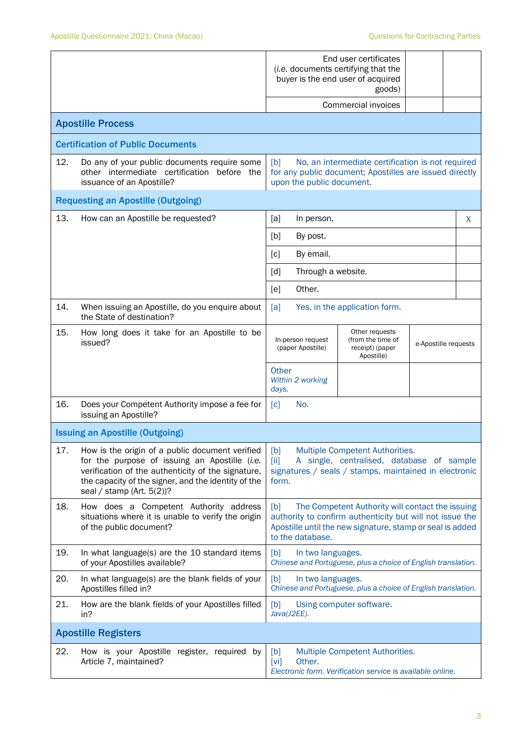|     |                                                                                                                                                                                                                                                    | End user certificates<br>(i.e. documents certifying that the<br>buyer is the end user of acquired<br>goods)<br>Commercial invoices                                                                   |   |  |  |
|-----|----------------------------------------------------------------------------------------------------------------------------------------------------------------------------------------------------------------------------------------------------|------------------------------------------------------------------------------------------------------------------------------------------------------------------------------------------------------|---|--|--|
|     | <b>Apostille Process</b>                                                                                                                                                                                                                           |                                                                                                                                                                                                      |   |  |  |
|     | <b>Certification of Public Documents</b>                                                                                                                                                                                                           |                                                                                                                                                                                                      |   |  |  |
| 12. | Do any of your public documents require some<br>other intermediate certification before the<br>issuance of an Apostille?                                                                                                                           | [b]<br>No, an intermediate certification is not required<br>for any public document; Apostilles are issued directly<br>upon the public document.                                                     |   |  |  |
|     | <b>Requesting an Apostille (Outgoing)</b>                                                                                                                                                                                                          |                                                                                                                                                                                                      |   |  |  |
| 13. | How can an Apostille be requested?                                                                                                                                                                                                                 | [a]<br>In person.                                                                                                                                                                                    | X |  |  |
|     |                                                                                                                                                                                                                                                    | By post.<br>[b]                                                                                                                                                                                      |   |  |  |
|     |                                                                                                                                                                                                                                                    | [c]<br>By email.                                                                                                                                                                                     |   |  |  |
|     |                                                                                                                                                                                                                                                    | Through a website.<br>[d]                                                                                                                                                                            |   |  |  |
|     |                                                                                                                                                                                                                                                    | Other.<br>[e]                                                                                                                                                                                        |   |  |  |
| 14. | When issuing an Apostille, do you enquire about<br>the State of destination?                                                                                                                                                                       | [a]<br>Yes, in the application form.                                                                                                                                                                 |   |  |  |
| 15. | How long does it take for an Apostille to be<br>issued?                                                                                                                                                                                            | Other requests<br>In-person request<br>(from the time of<br>e-Apostille requests<br>(paper Apostille)<br>receipt) (paper<br>Apostille)                                                               |   |  |  |
|     |                                                                                                                                                                                                                                                    | Other<br>Within 2 working<br>days.                                                                                                                                                                   |   |  |  |
| 16. | Does your Competent Authority impose a fee for<br>issuing an Apostille?                                                                                                                                                                            | No.<br>[c]                                                                                                                                                                                           |   |  |  |
|     | <b>Issuing an Apostille (Outgoing)</b>                                                                                                                                                                                                             |                                                                                                                                                                                                      |   |  |  |
|     | 17. How is the origin of a public document verified [b]<br>for the purpose of issuing an Apostille (i.e.<br>verification of the authenticity of the signature,<br>the capacity of the signer, and the identity of the<br>seal / stamp (Art. 5(2))? | Multiple Competent Authorities.<br>A single, centralised, database of sample<br>[ii]<br>signatures / seals / stamps, maintained in electronic<br>form.                                               |   |  |  |
| 18. | How does a Competent Authority address<br>situations where it is unable to verify the origin<br>of the public document?                                                                                                                            | The Competent Authority will contact the issuing<br>[b]<br>authority to confirm authenticity but will not issue the<br>Apostille until the new signature, stamp or seal is added<br>to the database. |   |  |  |
| 19. | In what language(s) are the 10 standard items<br>of your Apostilles available?                                                                                                                                                                     | [b]<br>In two languages.<br>Chinese and Portuguese, plus a choice of English translation.                                                                                                            |   |  |  |
| 20. | In what language(s) are the blank fields of your<br>Apostilles filled in?                                                                                                                                                                          | [b]<br>In two languages.<br>Chinese and Portuguese, plus a choice of English translation.                                                                                                            |   |  |  |
| 21. | How are the blank fields of your Apostilles filled<br>in?                                                                                                                                                                                          | [b]<br>Using computer software.<br>Java(J2EE).                                                                                                                                                       |   |  |  |
|     | <b>Apostille Registers</b>                                                                                                                                                                                                                         |                                                                                                                                                                                                      |   |  |  |
| 22. | How is your Apostille register, required by<br>Article 7, maintained?                                                                                                                                                                              | Multiple Competent Authorities.<br>[b]<br>Other.<br>$\lceil \mathsf{vi} \rceil$<br>Electronic form. Verification service is available online.                                                        |   |  |  |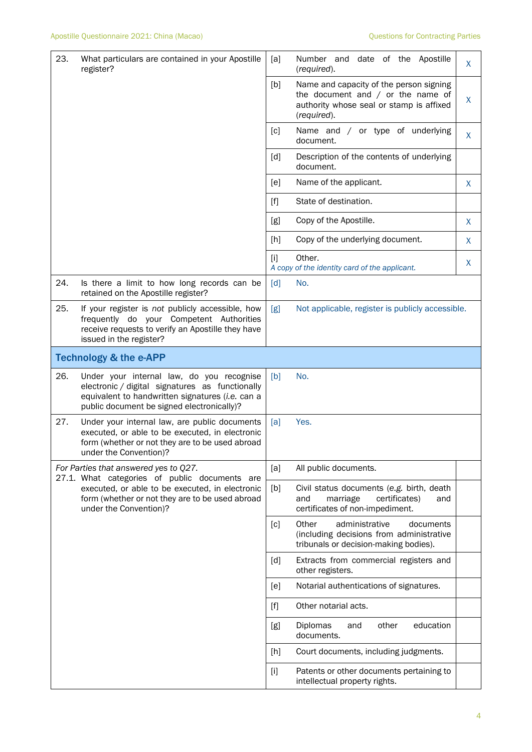| 23. | What particulars are contained in your Apostille<br>register?                                                                                                                                  | [a]   | Number and date of the Apostille<br>(required).                                                                                           | X |
|-----|------------------------------------------------------------------------------------------------------------------------------------------------------------------------------------------------|-------|-------------------------------------------------------------------------------------------------------------------------------------------|---|
|     |                                                                                                                                                                                                | [b]   | Name and capacity of the person signing<br>the document and $/$ or the name of<br>authority whose seal or stamp is affixed<br>(required). | X |
|     |                                                                                                                                                                                                | [c]   | Name and / or type of underlying<br>document.                                                                                             | X |
|     |                                                                                                                                                                                                | [d]   | Description of the contents of underlying<br>document.                                                                                    |   |
|     |                                                                                                                                                                                                | [e]   | Name of the applicant.                                                                                                                    | X |
|     |                                                                                                                                                                                                | $[f]$ | State of destination.                                                                                                                     |   |
|     |                                                                                                                                                                                                | [g]   | Copy of the Apostille.                                                                                                                    | X |
|     |                                                                                                                                                                                                | [h]   | Copy of the underlying document.                                                                                                          | X |
|     |                                                                                                                                                                                                | [i]   | Other.<br>A copy of the identity card of the applicant.                                                                                   | X |
| 24. | Is there a limit to how long records can be<br>retained on the Apostille register?                                                                                                             | [d]   | No.                                                                                                                                       |   |
| 25. | If your register is not publicly accessible, how<br>frequently do your Competent Authorities<br>receive requests to verify an Apostille they have<br>issued in the register?                   | [g]   | Not applicable, register is publicly accessible.                                                                                          |   |
|     | <b>Technology &amp; the e-APP</b>                                                                                                                                                              |       |                                                                                                                                           |   |
| 26. | Under your internal law, do you recognise<br>electronic / digital signatures as functionally<br>equivalent to handwritten signatures (i.e. can a<br>public document be signed electronically)? | [b]   | No.                                                                                                                                       |   |
| 27. | Under your internal law, are public documents<br>executed, or able to be executed, in electronic<br>form (whether or not they are to be used abroad<br>under the Convention)?                  | [a]   | Yes.                                                                                                                                      |   |
|     | For Parties that answered yes to Q27.<br>27.1. What categories of public documents are                                                                                                         | [a]   | All public documents.                                                                                                                     |   |
|     | executed, or able to be executed, in electronic<br>form (whether or not they are to be used abroad<br>under the Convention)?                                                                   | [b]   | Civil status documents (e.g. birth, death<br>certificates)<br>and<br>marriage<br>and<br>certificates of non-impediment.                   |   |
|     |                                                                                                                                                                                                | [c]   | Other<br>administrative<br>documents                                                                                                      |   |
|     |                                                                                                                                                                                                |       | (including decisions from administrative<br>tribunals or decision-making bodies).                                                         |   |
|     |                                                                                                                                                                                                | [d]   | Extracts from commercial registers and<br>other registers.                                                                                |   |
|     |                                                                                                                                                                                                | [e]   | Notarial authentications of signatures.                                                                                                   |   |
|     |                                                                                                                                                                                                | $[f]$ | Other notarial acts.                                                                                                                      |   |
|     |                                                                                                                                                                                                | [g]   | other<br>education<br>Diplomas<br>and<br>documents.                                                                                       |   |
|     |                                                                                                                                                                                                | [h]   | Court documents, including judgments.                                                                                                     |   |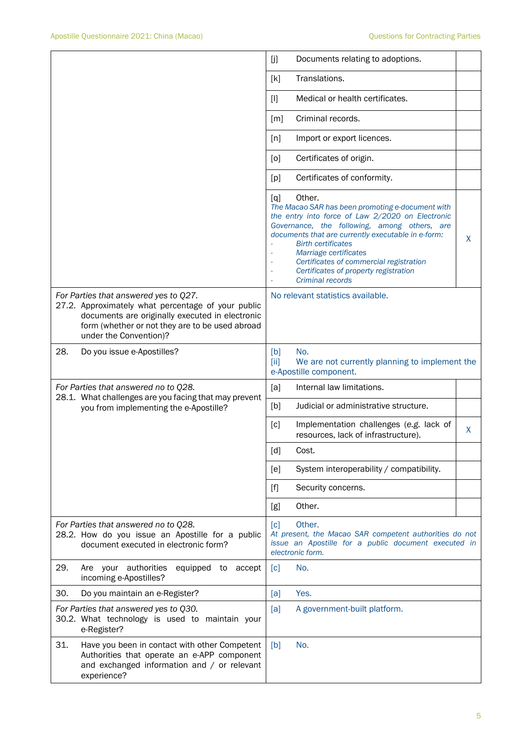|                                                                                                                                                                                                                             | [j<br>Documents relating to adoptions.                                                                                                                                                                                                                                                                                                                                                         |
|-----------------------------------------------------------------------------------------------------------------------------------------------------------------------------------------------------------------------------|------------------------------------------------------------------------------------------------------------------------------------------------------------------------------------------------------------------------------------------------------------------------------------------------------------------------------------------------------------------------------------------------|
|                                                                                                                                                                                                                             | Translations.<br>[k]                                                                                                                                                                                                                                                                                                                                                                           |
|                                                                                                                                                                                                                             | Medical or health certificates.<br>$[1]$                                                                                                                                                                                                                                                                                                                                                       |
|                                                                                                                                                                                                                             | Criminal records.<br>[m]                                                                                                                                                                                                                                                                                                                                                                       |
|                                                                                                                                                                                                                             | Import or export licences.<br>[n]                                                                                                                                                                                                                                                                                                                                                              |
|                                                                                                                                                                                                                             | Certificates of origin.<br>[0]                                                                                                                                                                                                                                                                                                                                                                 |
|                                                                                                                                                                                                                             | Certificates of conformity.<br>[p]                                                                                                                                                                                                                                                                                                                                                             |
|                                                                                                                                                                                                                             | Other.<br>[q]<br>The Macao SAR has been promoting e-document with<br>the entry into force of Law 2/2020 on Electronic<br>Governance, the following, among others, are<br>documents that are currently executable in e-form:<br>X<br><b>Birth certificates</b><br>Marriage certificates<br>Certificates of commercial registration<br>Certificates of property registration<br>Criminal records |
| For Parties that answered yes to Q27.<br>27.2. Approximately what percentage of your public<br>documents are originally executed in electronic<br>form (whether or not they are to be used abroad<br>under the Convention)? | No relevant statistics available.                                                                                                                                                                                                                                                                                                                                                              |
| 28.<br>Do you issue e-Apostilles?                                                                                                                                                                                           | No.<br>[b]<br>We are not currently planning to implement the<br>[ii]<br>e-Apostille component.                                                                                                                                                                                                                                                                                                 |
| For Parties that answered no to Q28.<br>28.1. What challenges are you facing that may prevent                                                                                                                               | [a]<br>Internal law limitations.                                                                                                                                                                                                                                                                                                                                                               |
| you from implementing the e-Apostille?                                                                                                                                                                                      | Judicial or administrative structure.<br>[b]                                                                                                                                                                                                                                                                                                                                                   |
|                                                                                                                                                                                                                             | Implementation challenges (e.g. lack of<br>[c]<br>X<br>resources, lack of infrastructure).                                                                                                                                                                                                                                                                                                     |
|                                                                                                                                                                                                                             | [d]<br>Cost.                                                                                                                                                                                                                                                                                                                                                                                   |
|                                                                                                                                                                                                                             | System interoperability / compatibility.<br>[e]                                                                                                                                                                                                                                                                                                                                                |
|                                                                                                                                                                                                                             | $[f]$<br>Security concerns.                                                                                                                                                                                                                                                                                                                                                                    |
|                                                                                                                                                                                                                             | Other.<br>[g]                                                                                                                                                                                                                                                                                                                                                                                  |
| For Parties that answered no to Q28.<br>28.2. How do you issue an Apostille for a public<br>document executed in electronic form?                                                                                           | Other.<br>[c]<br>At present, the Macao SAR competent authorities do not<br>issue an Apostille for a public document executed in<br>electronic form.                                                                                                                                                                                                                                            |
| 29.<br>Are your authorities<br>equipped to accept<br>incoming e-Apostilles?                                                                                                                                                 | No.<br>[c]                                                                                                                                                                                                                                                                                                                                                                                     |
| 30.<br>Do you maintain an e-Register?                                                                                                                                                                                       | Yes.<br>[a]                                                                                                                                                                                                                                                                                                                                                                                    |
| For Parties that answered yes to Q30.<br>30.2. What technology is used to maintain your<br>e-Register?                                                                                                                      | [a]<br>A government-built platform.                                                                                                                                                                                                                                                                                                                                                            |
| 31.<br>Have you been in contact with other Competent<br>Authorities that operate an e-APP component<br>and exchanged information and / or relevant<br>experience?                                                           | [b]<br>No.                                                                                                                                                                                                                                                                                                                                                                                     |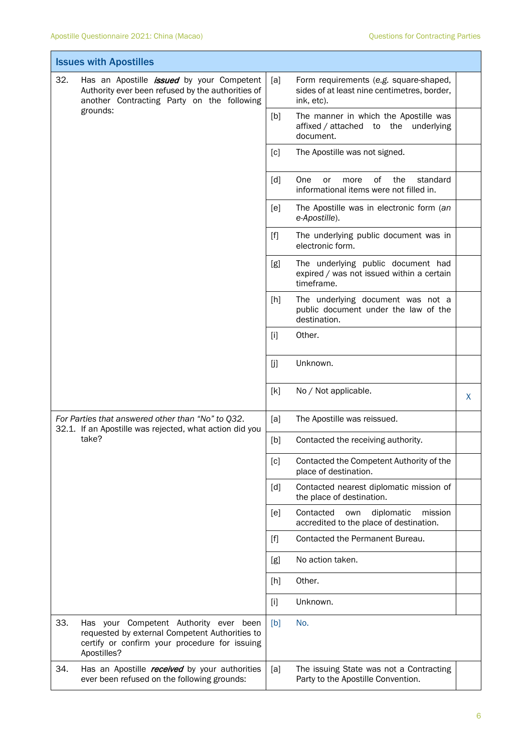Ī.

Ť

|                                                                                                              | <b>Issues with Apostilles</b>                                                                                                                                   |       |                                                                                                     |   |  |  |
|--------------------------------------------------------------------------------------------------------------|-----------------------------------------------------------------------------------------------------------------------------------------------------------------|-------|-----------------------------------------------------------------------------------------------------|---|--|--|
| 32.                                                                                                          | Has an Apostille <i>issued</i> by your Competent<br>Authority ever been refused by the authorities of<br>another Contracting Party on the following<br>grounds: | [a]   | Form requirements (e.g. square-shaped,<br>sides of at least nine centimetres, border,<br>ink, etc). |   |  |  |
|                                                                                                              |                                                                                                                                                                 | [b]   | The manner in which the Apostille was<br>affixed / attached to the underlying<br>document.          |   |  |  |
|                                                                                                              |                                                                                                                                                                 | [c]   | The Apostille was not signed.                                                                       |   |  |  |
|                                                                                                              |                                                                                                                                                                 | [d]   | of<br>One<br>the<br>standard<br>more<br>or<br>informational items were not filled in.               |   |  |  |
|                                                                                                              |                                                                                                                                                                 | [e]   | The Apostille was in electronic form (an<br>e-Apostille).                                           |   |  |  |
|                                                                                                              |                                                                                                                                                                 | $[f]$ | The underlying public document was in<br>electronic form.                                           |   |  |  |
|                                                                                                              |                                                                                                                                                                 | [g]   | The underlying public document had<br>expired / was not issued within a certain<br>timeframe.       |   |  |  |
|                                                                                                              |                                                                                                                                                                 | [h]   | The underlying document was not a<br>public document under the law of the<br>destination.           |   |  |  |
|                                                                                                              |                                                                                                                                                                 | $[1]$ | Other.                                                                                              |   |  |  |
|                                                                                                              |                                                                                                                                                                 | [j]   | Unknown.                                                                                            |   |  |  |
|                                                                                                              |                                                                                                                                                                 | [k]   | No / Not applicable.                                                                                | X |  |  |
| For Parties that answered other than "No" to Q32.<br>32.1. If an Apostille was rejected, what action did you |                                                                                                                                                                 | [a]   | The Apostille was reissued.                                                                         |   |  |  |
|                                                                                                              | take?                                                                                                                                                           | [b]   | Contacted the receiving authority.                                                                  |   |  |  |
|                                                                                                              |                                                                                                                                                                 | [c]   | Contacted the Competent Authority of the<br>place of destination.                                   |   |  |  |
|                                                                                                              |                                                                                                                                                                 | [d]   | Contacted nearest diplomatic mission of<br>the place of destination.                                |   |  |  |
|                                                                                                              |                                                                                                                                                                 | [e]   | Contacted<br>diplomatic<br>mission<br>own<br>accredited to the place of destination.                |   |  |  |
|                                                                                                              |                                                                                                                                                                 | [f]   | Contacted the Permanent Bureau.                                                                     |   |  |  |
|                                                                                                              |                                                                                                                                                                 | [g]   | No action taken.                                                                                    |   |  |  |
|                                                                                                              |                                                                                                                                                                 | [h]   | Other.                                                                                              |   |  |  |
|                                                                                                              |                                                                                                                                                                 | $[1]$ | Unknown.                                                                                            |   |  |  |
| 33.                                                                                                          | Has your Competent Authority ever been<br>requested by external Competent Authorities to<br>certify or confirm your procedure for issuing<br>Apostilles?        | [b]   | No.                                                                                                 |   |  |  |
| 34.                                                                                                          | Has an Apostille <i>received</i> by your authorities<br>ever been refused on the following grounds:                                                             | [a]   | The issuing State was not a Contracting<br>Party to the Apostille Convention.                       |   |  |  |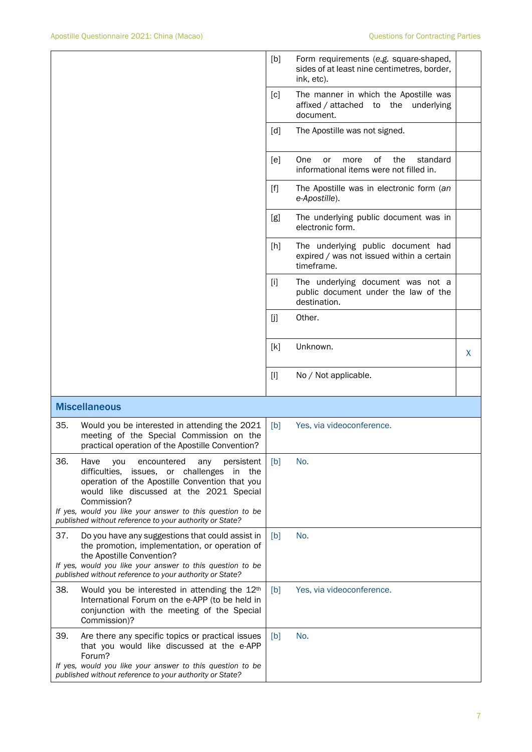|     |                                                                                                                                                                                                                                                                                                                                          | [b]   | Form requirements (e.g. square-shaped,<br>sides of at least nine centimetres, border,<br>ink, etc). |   |
|-----|------------------------------------------------------------------------------------------------------------------------------------------------------------------------------------------------------------------------------------------------------------------------------------------------------------------------------------------|-------|-----------------------------------------------------------------------------------------------------|---|
|     |                                                                                                                                                                                                                                                                                                                                          | [c]   | The manner in which the Apostille was<br>affixed / attached to the underlying<br>document.          |   |
|     |                                                                                                                                                                                                                                                                                                                                          | [d]   | The Apostille was not signed.                                                                       |   |
|     |                                                                                                                                                                                                                                                                                                                                          | [e]   | One<br>0f<br>the<br>standard<br>or<br>more<br>informational items were not filled in.               |   |
|     |                                                                                                                                                                                                                                                                                                                                          | $[f]$ | The Apostille was in electronic form (an<br>e-Apostille).                                           |   |
|     |                                                                                                                                                                                                                                                                                                                                          | [g]   | The underlying public document was in<br>electronic form.                                           |   |
|     |                                                                                                                                                                                                                                                                                                                                          | [h]   | The underlying public document had<br>expired / was not issued within a certain<br>timeframe.       |   |
|     |                                                                                                                                                                                                                                                                                                                                          | $[1]$ | The underlying document was not a<br>public document under the law of the<br>destination.           |   |
|     |                                                                                                                                                                                                                                                                                                                                          | [j]   | Other.                                                                                              |   |
|     |                                                                                                                                                                                                                                                                                                                                          | [k]   | Unknown.                                                                                            | X |
|     |                                                                                                                                                                                                                                                                                                                                          | $[1]$ | No / Not applicable.                                                                                |   |
|     | <b>Miscellaneous</b>                                                                                                                                                                                                                                                                                                                     |       |                                                                                                     |   |
| 35. | Would you be interested in attending the 2021<br>meeting of the Special Commission on the<br>practical operation of the Apostille Convention?                                                                                                                                                                                            | [b]   | Yes, via videoconference.                                                                           |   |
| 36. | Have<br>encountered<br>any<br>persistent<br>you<br>difficulties,<br>issues, or challenges<br>in the<br>operation of the Apostille Convention that you<br>would like discussed at the 2021 Special<br>Commission?<br>If yes, would you like your answer to this question to be<br>published without reference to your authority or State? | [b]   | No.                                                                                                 |   |
| 37. | Do you have any suggestions that could assist in<br>the promotion, implementation, or operation of<br>the Apostille Convention?<br>If yes, would you like your answer to this question to be<br>published without reference to your authority or State?                                                                                  | [b]   | No.                                                                                                 |   |
| 38. | Would you be interested in attending the 12 <sup>th</sup><br>International Forum on the e-APP (to be held in<br>conjunction with the meeting of the Special<br>Commission)?                                                                                                                                                              | [b]   | Yes, via videoconference.                                                                           |   |
| 39. | Are there any specific topics or practical issues<br>that you would like discussed at the e-APP<br>Forum?                                                                                                                                                                                                                                | [b]   | No.                                                                                                 |   |
|     | If yes, would you like your answer to this question to be<br>published without reference to your authority or State?                                                                                                                                                                                                                     |       |                                                                                                     |   |